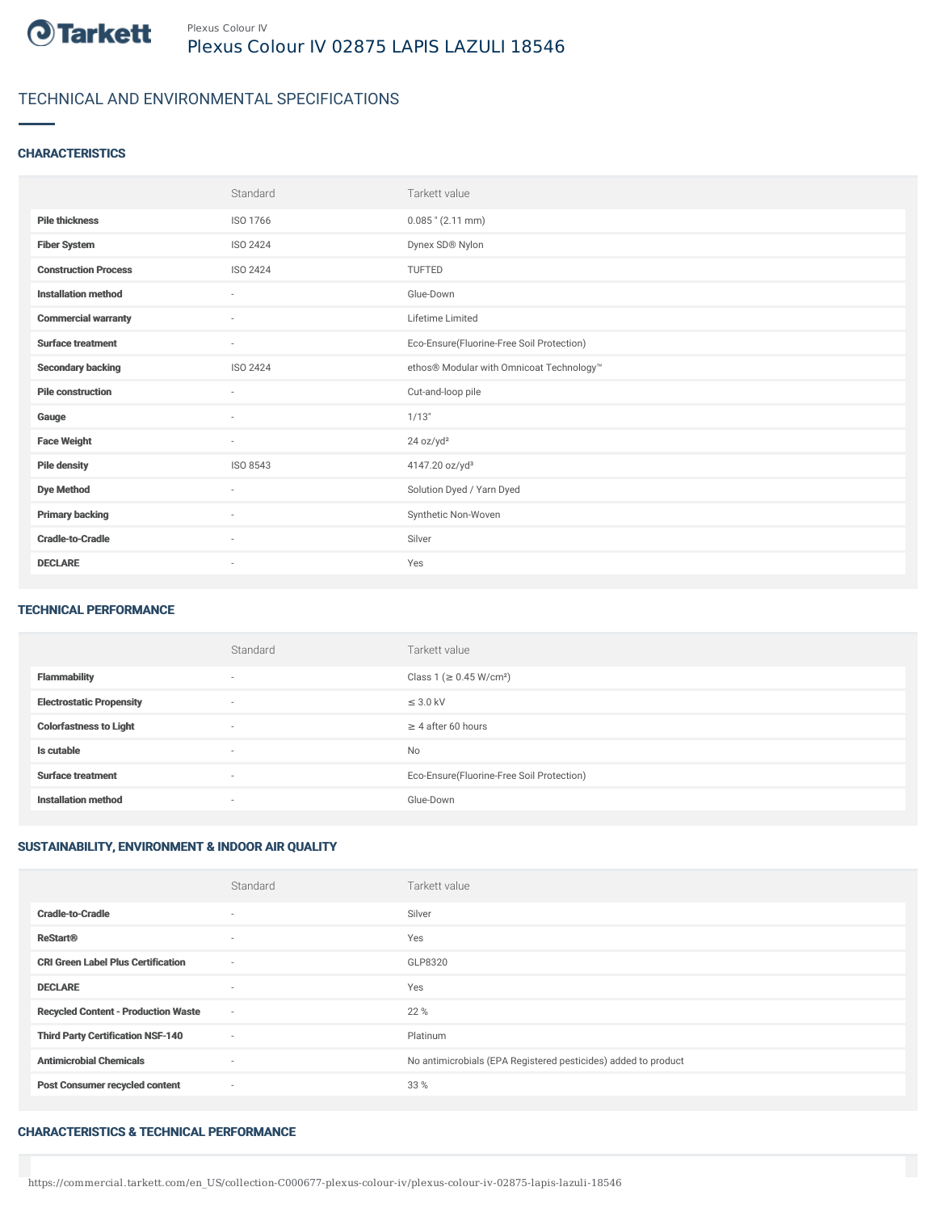

# TECHNICAL AND ENVIRONMENTAL SPECIFICATIONS

## **CHARACTERISTICS**

|                             | Standard                 | Tarkett value                             |
|-----------------------------|--------------------------|-------------------------------------------|
| <b>Pile thickness</b>       | ISO 1766                 | $0.085$ " (2.11 mm)                       |
| <b>Fiber System</b>         | ISO 2424                 | Dynex SD® Nylon                           |
| <b>Construction Process</b> | ISO 2424                 | TUFTED                                    |
| <b>Installation method</b>  | $\overline{\phantom{a}}$ | Glue-Down                                 |
| <b>Commercial warranty</b>  | $\sim$                   | Lifetime Limited                          |
| <b>Surface treatment</b>    | $\sim$                   | Eco-Ensure(Fluorine-Free Soil Protection) |
| <b>Secondary backing</b>    | ISO 2424                 | ethos® Modular with Omnicoat Technology™  |
| <b>Pile construction</b>    | $\sim$                   | Cut-and-loop pile                         |
| Gauge                       | $\sim$                   | 1/13"                                     |
| <b>Face Weight</b>          | $\sim$                   | 24 oz/yd <sup>2</sup>                     |
| <b>Pile density</b>         | ISO 8543                 | 4147.20 oz/yd <sup>3</sup>                |
| <b>Dye Method</b>           | $\sim$                   | Solution Dyed / Yarn Dyed                 |
| <b>Primary backing</b>      | ×                        | Synthetic Non-Woven                       |
| <b>Cradle-to-Cradle</b>     | $\sim$                   | Silver                                    |
| <b>DECLARE</b>              | $\overline{\phantom{a}}$ | Yes                                       |

#### TECHNICAL PERFORMANCE

|                                 | Standard                 | Tarkett value                             |
|---------------------------------|--------------------------|-------------------------------------------|
| <b>Flammability</b>             | $\overline{\phantom{a}}$ | Class 1 (≥ 0.45 W/cm <sup>2</sup> )       |
| <b>Electrostatic Propensity</b> | $\overline{\phantom{a}}$ | $\leq$ 3.0 kV                             |
| <b>Colorfastness to Light</b>   | $\overline{\phantom{a}}$ | $\geq$ 4 after 60 hours                   |
| Is cutable                      | $\sim$                   | <b>No</b>                                 |
| <b>Surface treatment</b>        | $\overline{\phantom{a}}$ | Eco-Ensure(Fluorine-Free Soil Protection) |
| <b>Installation method</b>      | $\overline{\phantom{a}}$ | Glue-Down                                 |

## SUSTAINABILITY, ENVIRONMENT & INDOOR AIR QUALITY

|                                            | Standard                 | Tarkett value                                                  |
|--------------------------------------------|--------------------------|----------------------------------------------------------------|
| <b>Cradle-to-Cradle</b>                    | $\overline{\phantom{a}}$ | Silver                                                         |
| <b>ReStart®</b>                            | $\overline{\phantom{a}}$ | Yes                                                            |
| <b>CRI Green Label Plus Certification</b>  | $\sim$                   | GLP8320                                                        |
| <b>DECLARE</b>                             |                          | Yes                                                            |
| <b>Recycled Content - Production Waste</b> | $\sim$                   | 22 %                                                           |
| <b>Third Party Certification NSF-140</b>   | $\sim$                   | Platinum                                                       |
| <b>Antimicrobial Chemicals</b>             | $\overline{\phantom{a}}$ | No antimicrobials (EPA Registered pesticides) added to product |
| <b>Post Consumer recycled content</b>      | $\sim$                   | 33 %                                                           |

#### CHARACTERISTICS & TECHNICAL PERFORMANCE